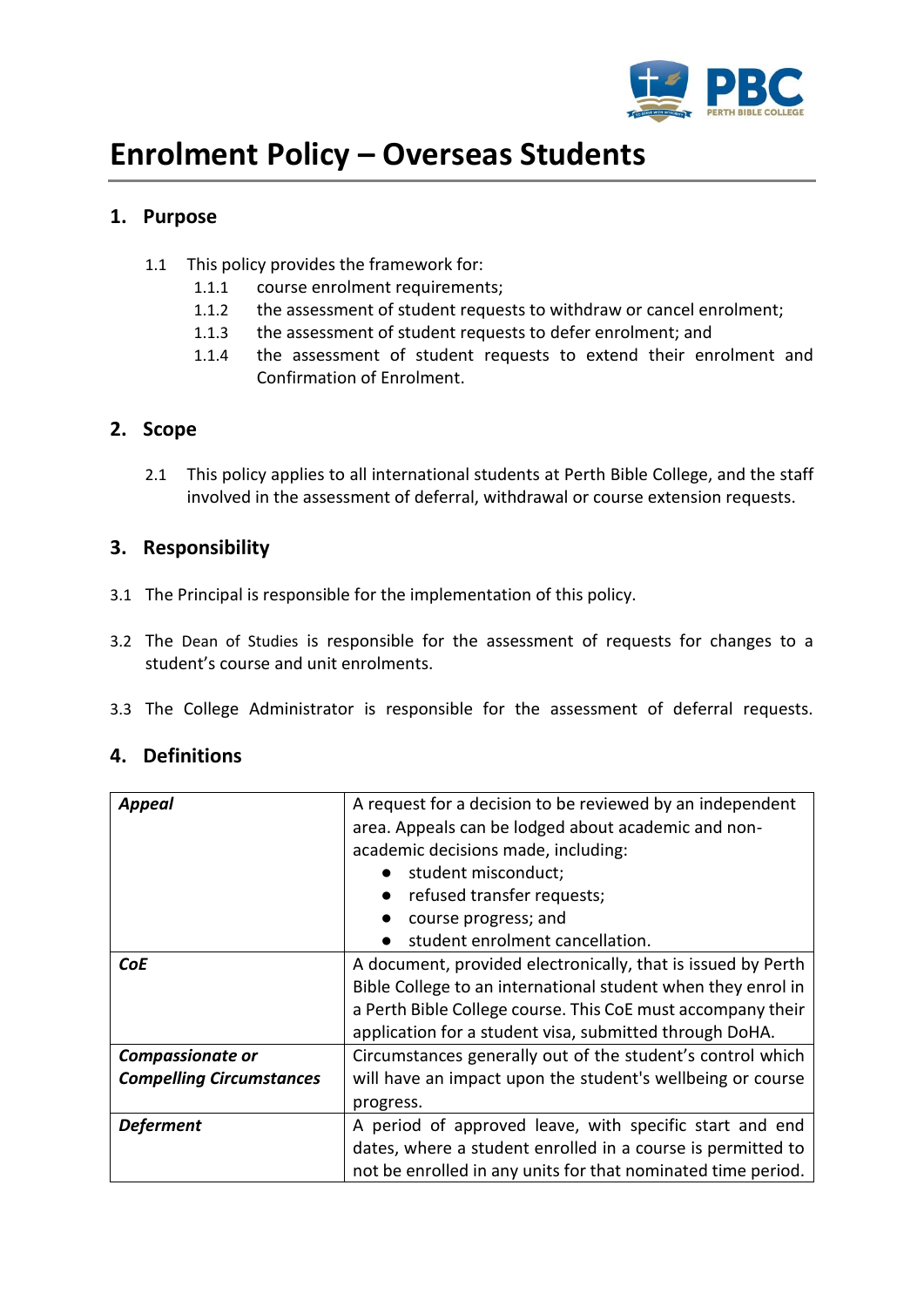

# **Enrolment Policy – Overseas Students**

# **1. Purpose**

- 1.1 This policy provides the framework for:
	- 1.1.1 course enrolment requirements;
	- 1.1.2 the assessment of student requests to withdraw or cancel enrolment;
	- 1.1.3 the assessment of student requests to defer enrolment; and
	- 1.1.4 the assessment of student requests to extend their enrolment and Confirmation of Enrolment.

# **2. Scope**

2.1 This policy applies to all international students at Perth Bible College, and the staff involved in the assessment of deferral, withdrawal or course extension requests.

# **3. Responsibility**

- 3.1 The Principal is responsible for the implementation of this policy.
- 3.2 The Dean of Studies is responsible for the assessment of requests for changes to a student's course and unit enrolments.
- 3.3 The College Administrator is responsible for the assessment of deferral requests.

# **4. Definitions**

| <b>Appeal</b>                   | A request for a decision to be reviewed by an independent    |  |  |  |  |
|---------------------------------|--------------------------------------------------------------|--|--|--|--|
|                                 | area. Appeals can be lodged about academic and non-          |  |  |  |  |
|                                 | academic decisions made, including:                          |  |  |  |  |
|                                 | student misconduct;                                          |  |  |  |  |
|                                 | refused transfer requests;                                   |  |  |  |  |
|                                 | course progress; and<br>$\bullet$                            |  |  |  |  |
|                                 | student enrolment cancellation.                              |  |  |  |  |
| <b>CoE</b>                      | A document, provided electronically, that is issued by Perth |  |  |  |  |
|                                 | Bible College to an international student when they enrol in |  |  |  |  |
|                                 | a Perth Bible College course. This CoE must accompany their  |  |  |  |  |
|                                 | application for a student visa, submitted through DoHA.      |  |  |  |  |
| Compassionate or                | Circumstances generally out of the student's control which   |  |  |  |  |
| <b>Compelling Circumstances</b> | will have an impact upon the student's wellbeing or course   |  |  |  |  |
|                                 | progress.                                                    |  |  |  |  |
| <b>Deferment</b>                | A period of approved leave, with specific start and end      |  |  |  |  |
|                                 | dates, where a student enrolled in a course is permitted to  |  |  |  |  |
|                                 | not be enrolled in any units for that nominated time period. |  |  |  |  |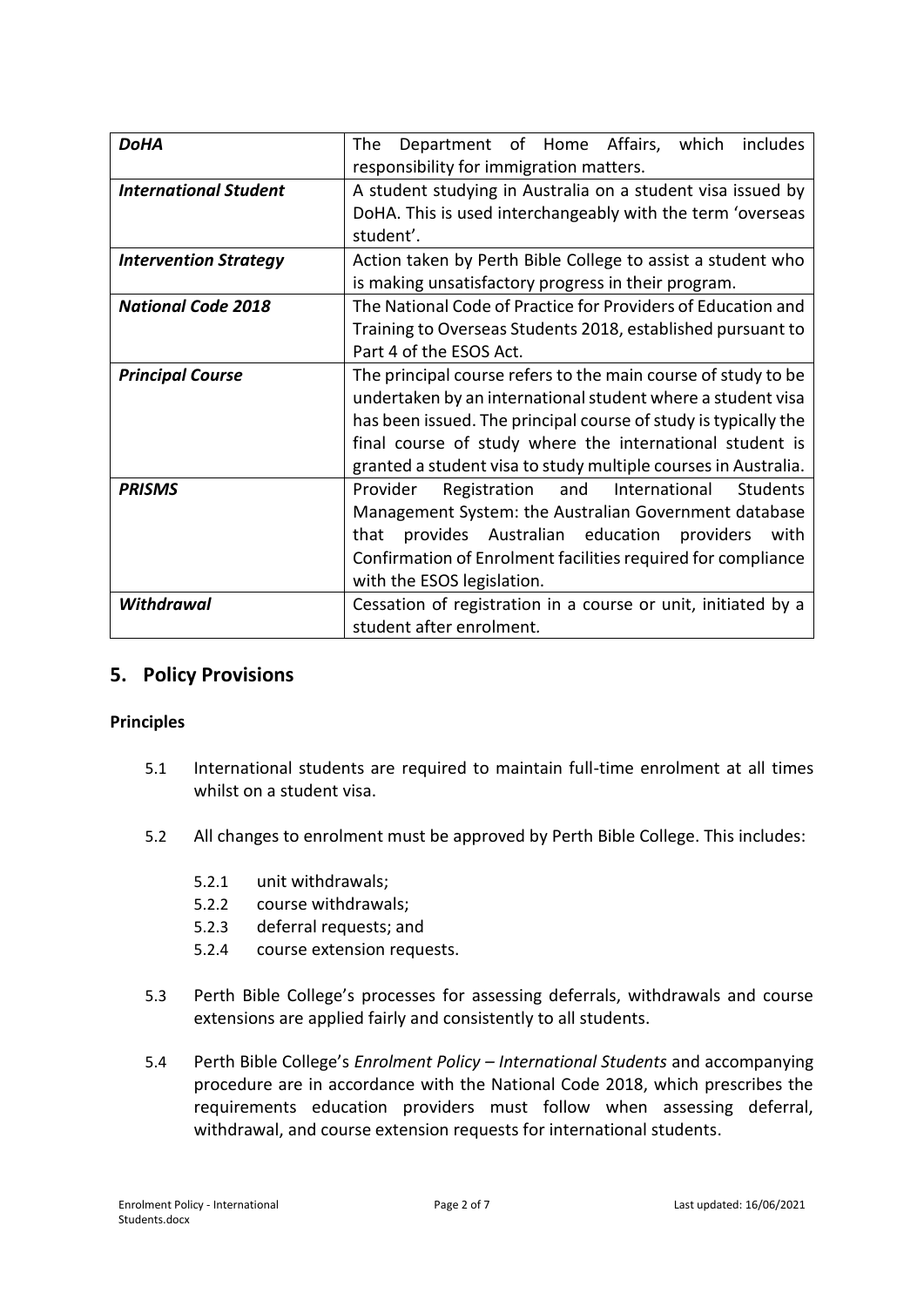| <b>DoHA</b>                  | includes<br>Department of Home Affairs, which<br>The<br>responsibility for immigration matters.                                                                                                                                                                                                                               |  |  |  |
|------------------------------|-------------------------------------------------------------------------------------------------------------------------------------------------------------------------------------------------------------------------------------------------------------------------------------------------------------------------------|--|--|--|
| <b>International Student</b> | A student studying in Australia on a student visa issued by<br>DoHA. This is used interchangeably with the term 'overseas<br>student'.                                                                                                                                                                                        |  |  |  |
| <b>Intervention Strategy</b> | Action taken by Perth Bible College to assist a student who<br>is making unsatisfactory progress in their program.                                                                                                                                                                                                            |  |  |  |
| <b>National Code 2018</b>    | The National Code of Practice for Providers of Education and<br>Training to Overseas Students 2018, established pursuant to<br>Part 4 of the ESOS Act.                                                                                                                                                                        |  |  |  |
| <b>Principal Course</b>      | The principal course refers to the main course of study to be<br>undertaken by an international student where a student visa<br>has been issued. The principal course of study is typically the<br>final course of study where the international student is<br>granted a student visa to study multiple courses in Australia. |  |  |  |
| <b>PRISMS</b>                | Registration<br>and International<br>Students<br>Provider<br>Management System: the Australian Government database<br>provides Australian education providers<br>that<br>with<br>Confirmation of Enrolment facilities required for compliance<br>with the ESOS legislation.                                                   |  |  |  |
| <b>Withdrawal</b>            | Cessation of registration in a course or unit, initiated by a<br>student after enrolment.                                                                                                                                                                                                                                     |  |  |  |

#### **5. Policy Provisions**

#### **Principles**

- 5.1 International students are required to maintain full-time enrolment at all times whilst on a student visa.
- 5.2 All changes to enrolment must be approved by Perth Bible College. This includes:
	- 5.2.1 unit withdrawals;
	- 5.2.2 course withdrawals;
	- 5.2.3 deferral requests; and
	- 5.2.4 course extension requests.
- 5.3 Perth Bible College's processes for assessing deferrals, withdrawals and course extensions are applied fairly and consistently to all students.
- 5.4 Perth Bible College's *Enrolment Policy – International Students* and accompanying procedure are in accordance with the National Code 2018, which prescribes the requirements education providers must follow when assessing deferral, withdrawal, and course extension requests for international students.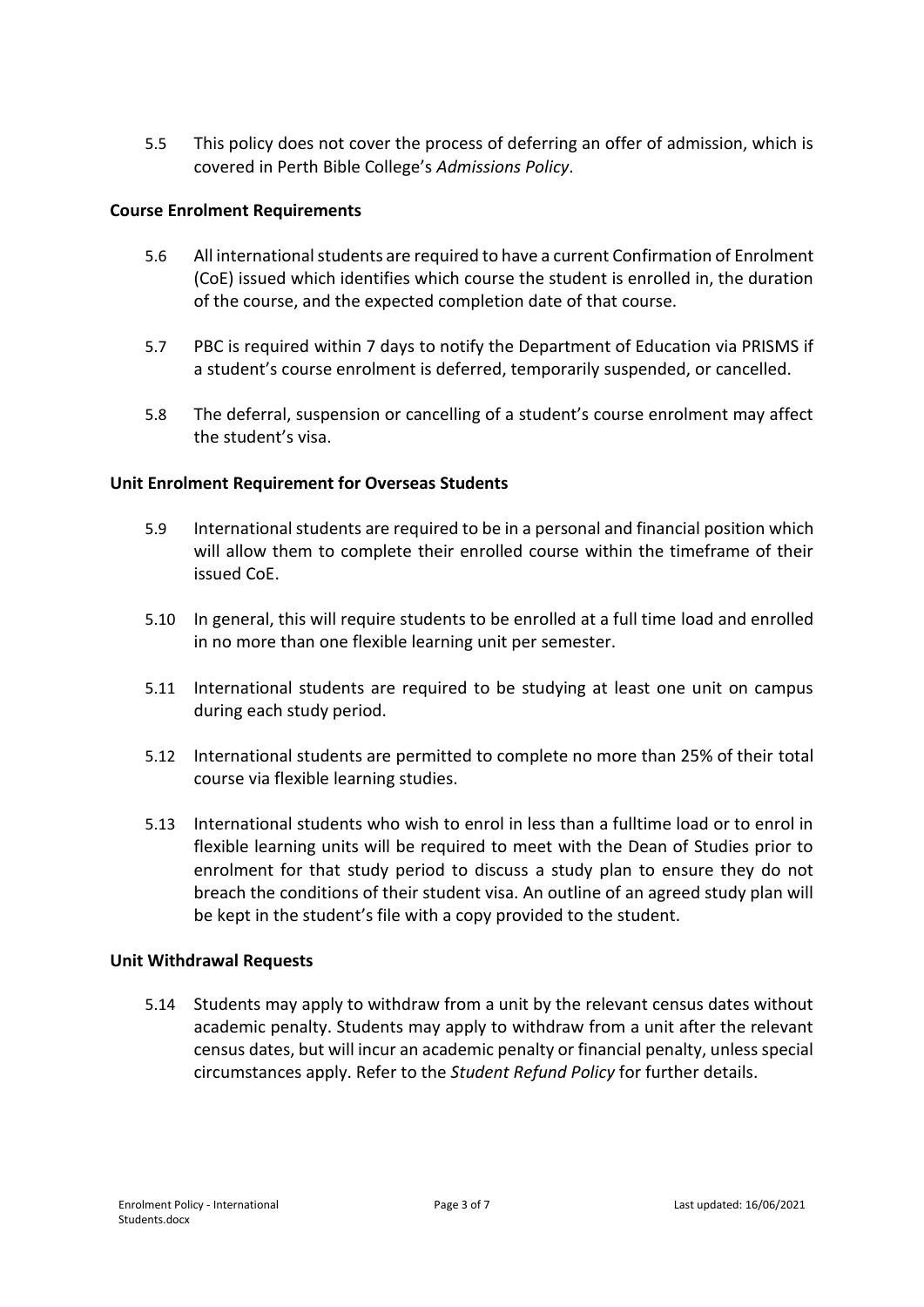5.5 This policy does not cover the process of deferring an offer of admission, which is covered in Perth Bible College's *Admissions Policy*.

#### **Course Enrolment Requirements**

- 5.6 All international students are required to have a current Confirmation of Enrolment (CoE) issued which identifies which course the student is enrolled in, the duration of the course, and the expected completion date of that course.
- 5.7 PBC is required within 7 days to notify the Department of Education via PRISMS if a student's course enrolment is deferred, temporarily suspended, or cancelled.
- 5.8 The deferral, suspension or cancelling of a student's course enrolment may affect the student's visa.

#### **Unit Enrolment Requirement for Overseas Students**

- 5.9 International students are required to be in a personal and financial position which will allow them to complete their enrolled course within the timeframe of their issued CoE.
- 5.10 In general, this will require students to be enrolled at a full time load and enrolled in no more than one flexible learning unit per semester.
- 5.11 International students are required to be studying at least one unit on campus during each study period.
- 5.12 International students are permitted to complete no more than 25% of their total course via flexible learning studies.
- 5.13 International students who wish to enrol in less than a fulltime load or to enrol in flexible learning units will be required to meet with the Dean of Studies prior to enrolment for that study period to discuss a study plan to ensure they do not breach the conditions of their student visa. An outline of an agreed study plan will be kept in the student's file with a copy provided to the student.

#### **Unit Withdrawal Requests**

5.14 Students may apply to withdraw from a unit by the relevant census dates without academic penalty. Students may apply to withdraw from a unit after the relevant census dates, but will incur an academic penalty or financial penalty, unless special circumstances apply. Refer to the *Student Refund Policy* for further details.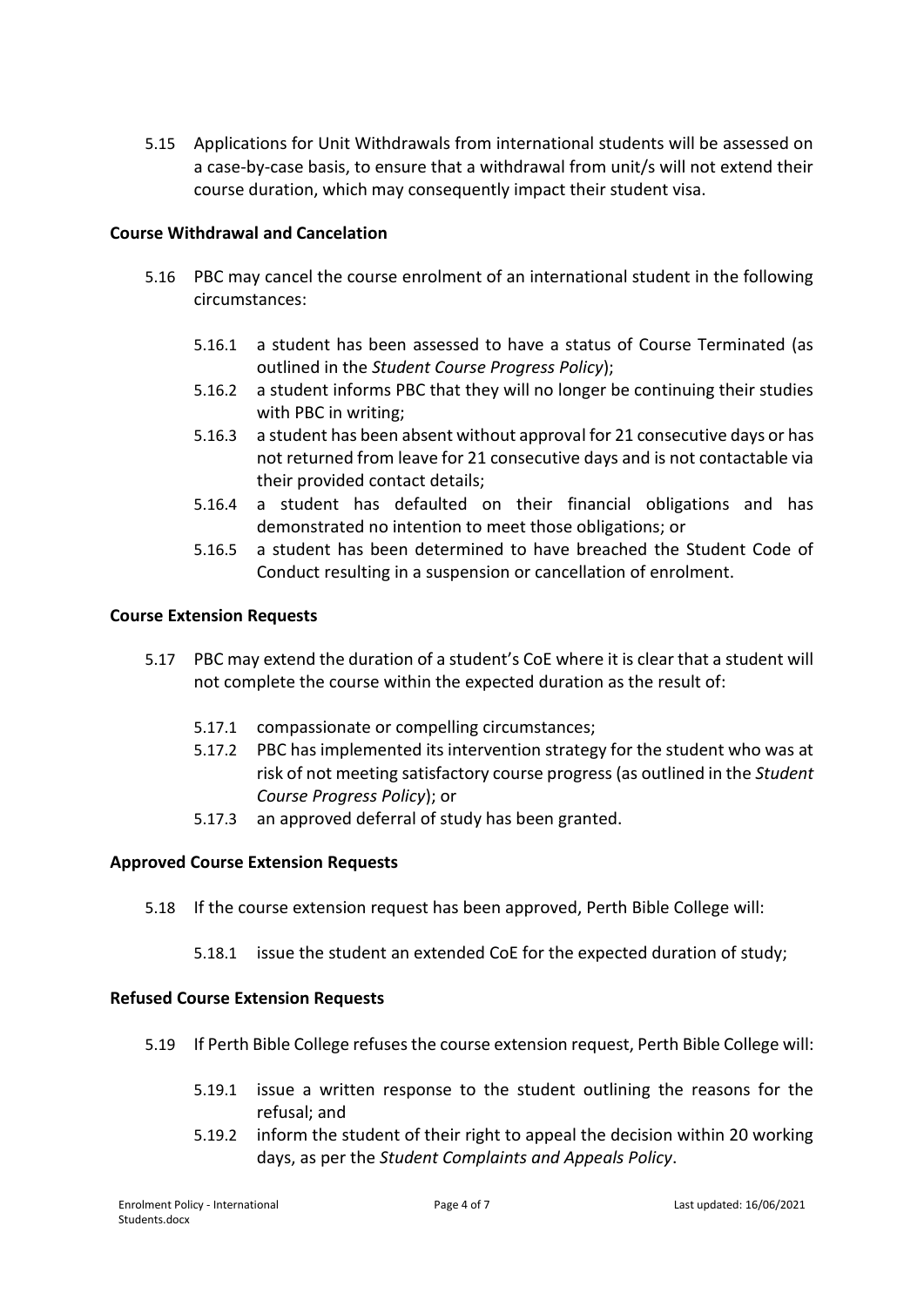5.15 Applications for Unit Withdrawals from international students will be assessed on a case-by-case basis, to ensure that a withdrawal from unit/s will not extend their course duration, which may consequently impact their student visa.

#### **Course Withdrawal and Cancelation**

- 5.16 PBC may cancel the course enrolment of an international student in the following circumstances:
	- 5.16.1 a student has been assessed to have a status of Course Terminated (as outlined in the *Student Course Progress Policy*);
	- 5.16.2 a student informs PBC that they will no longer be continuing their studies with PBC in writing;
	- 5.16.3 a student has been absent without approval for 21 consecutive days or has not returned from leave for 21 consecutive days and is not contactable via their provided contact details;
	- 5.16.4 a student has defaulted on their financial obligations and has demonstrated no intention to meet those obligations; or
	- 5.16.5 a student has been determined to have breached the Student Code of Conduct resulting in a suspension or cancellation of enrolment.

#### **Course Extension Requests**

- 5.17 PBC may extend the duration of a student's CoE where it is clear that a student will not complete the course within the expected duration as the result of:
	- 5.17.1 compassionate or compelling circumstances;
	- 5.17.2 PBC has implemented its intervention strategy for the student who was at risk of not meeting satisfactory course progress (as outlined in the *Student Course Progress Policy*); or
	- 5.17.3 an approved deferral of study has been granted.

#### **Approved Course Extension Requests**

- 5.18 If the course extension request has been approved, Perth Bible College will:
	- 5.18.1 issue the student an extended CoE for the expected duration of study;

#### **Refused Course Extension Requests**

- 5.19 If Perth Bible College refuses the course extension request, Perth Bible College will:
	- 5.19.1 issue a written response to the student outlining the reasons for the refusal; and
	- 5.19.2 inform the student of their right to appeal the decision within 20 working days, as per the *Student Complaints and Appeals Policy*.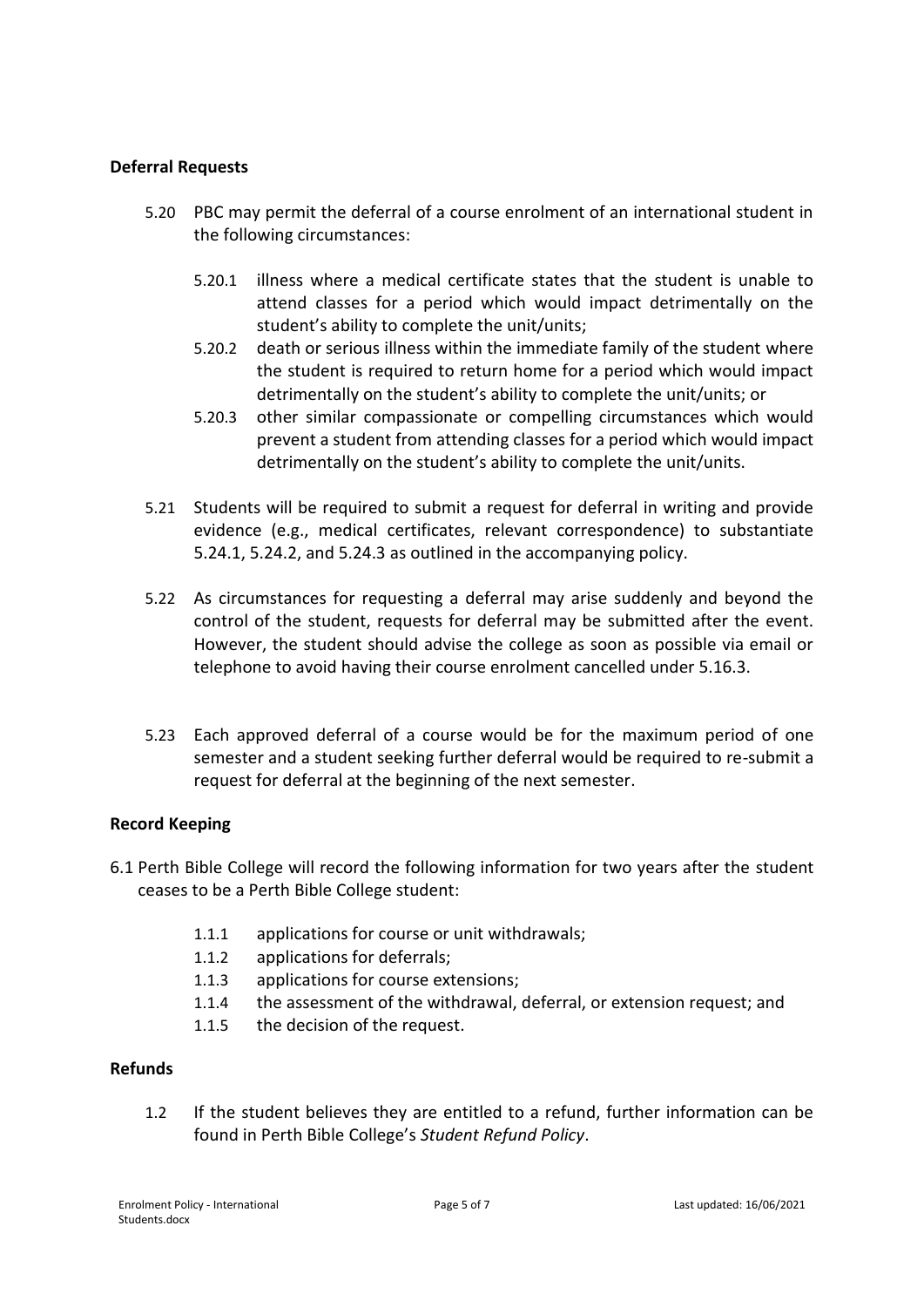#### **Deferral Requests**

- 5.20 PBC may permit the deferral of a course enrolment of an international student in the following circumstances:
	- 5.20.1 illness where a medical certificate states that the student is unable to attend classes for a period which would impact detrimentally on the student's ability to complete the unit/units;
	- 5.20.2 death or serious illness within the immediate family of the student where the student is required to return home for a period which would impact detrimentally on the student's ability to complete the unit/units; or
	- 5.20.3 other similar compassionate or compelling circumstances which would prevent a student from attending classes for a period which would impact detrimentally on the student's ability to complete the unit/units.
- 5.21 Students will be required to submit a request for deferral in writing and provide evidence (e.g., medical certificates, relevant correspondence) to substantiate 5.24.1, 5.24.2, and 5.24.3 as outlined in the accompanying policy.
- 5.22 As circumstances for requesting a deferral may arise suddenly and beyond the control of the student, requests for deferral may be submitted after the event. However, the student should advise the college as soon as possible via email or telephone to avoid having their course enrolment cancelled under 5.16.3.
- 5.23 Each approved deferral of a course would be for the maximum period of one semester and a student seeking further deferral would be required to re-submit a request for deferral at the beginning of the next semester.

#### **Record Keeping**

- 6.1 Perth Bible College will record the following information for two years after the student ceases to be a Perth Bible College student:
	- 1.1.1 applications for course or unit withdrawals;
	- 1.1.2 applications for deferrals;
	- 1.1.3 applications for course extensions;
	- 1.1.4 the assessment of the withdrawal, deferral, or extension request; and
	- 1.1.5 the decision of the request.

#### **Refunds**

1.2 If the student believes they are entitled to a refund, further information can be found in Perth Bible College's *Student Refund Policy*.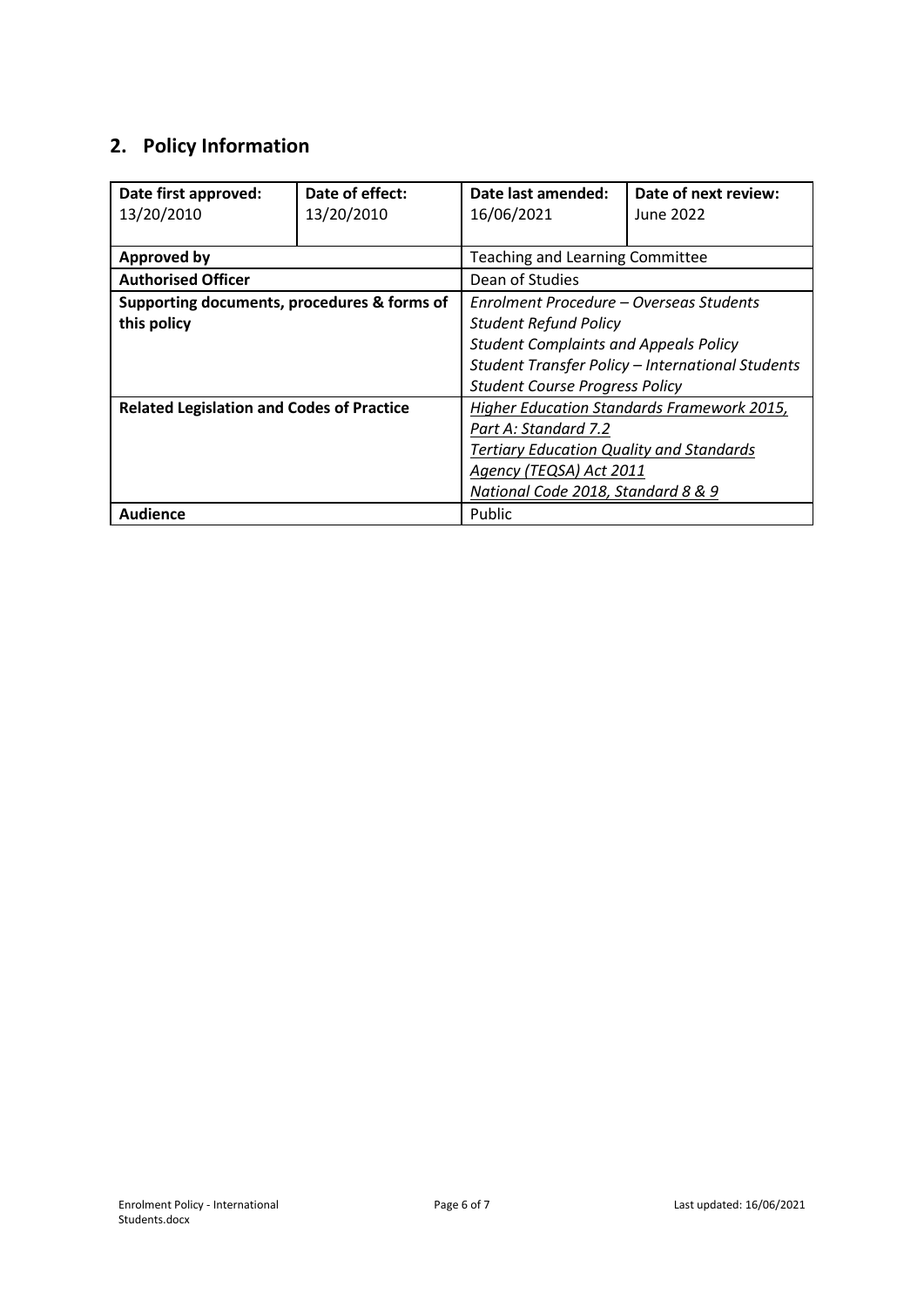# **2. Policy Information**

| Date first approved:                             | Date of effect: | Date last amended:                               | Date of next review: |
|--------------------------------------------------|-----------------|--------------------------------------------------|----------------------|
| 13/20/2010                                       | 13/20/2010      | 16/06/2021                                       | June 2022            |
|                                                  |                 |                                                  |                      |
| <b>Approved by</b>                               |                 | Teaching and Learning Committee                  |                      |
| <b>Authorised Officer</b>                        |                 | Dean of Studies                                  |                      |
| Supporting documents, procedures & forms of      |                 | Enrolment Procedure – Overseas Students          |                      |
| this policy                                      |                 | <b>Student Refund Policy</b>                     |                      |
|                                                  |                 | <b>Student Complaints and Appeals Policy</b>     |                      |
|                                                  |                 | Student Transfer Policy - International Students |                      |
|                                                  |                 | <b>Student Course Progress Policy</b>            |                      |
| <b>Related Legislation and Codes of Practice</b> |                 | Higher Education Standards Framework 2015,       |                      |
|                                                  |                 | Part A: Standard 7.2                             |                      |
|                                                  |                 | <b>Tertiary Education Quality and Standards</b>  |                      |
|                                                  |                 | Agency (TEQSA) Act 2011                          |                      |
|                                                  |                 | National Code 2018, Standard 8 & 9               |                      |
| <b>Audience</b>                                  |                 | Public                                           |                      |